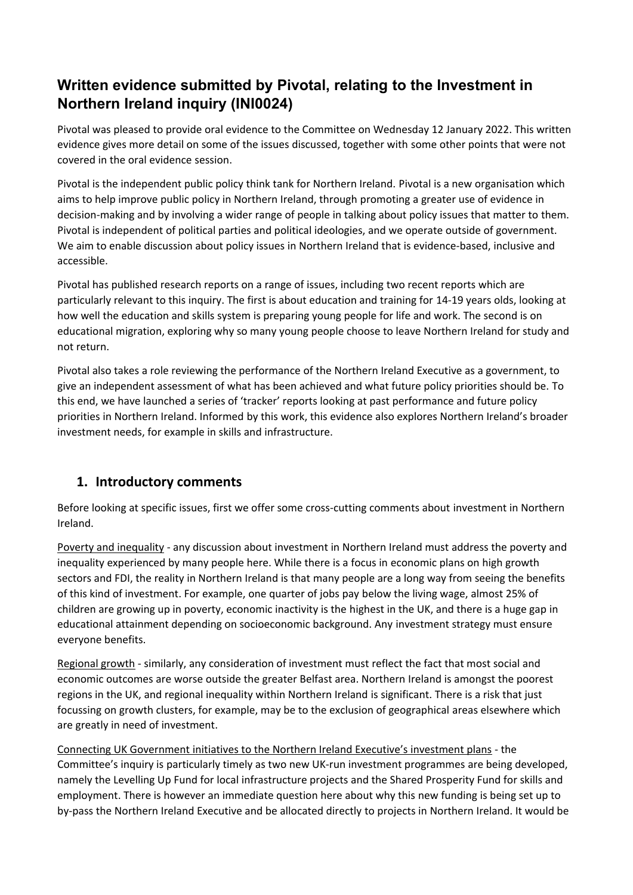# **Written evidence submitted by Pivotal, relating to the Investment in Northern Ireland inquiry (INI0024)**

Pivotal was pleased to provide oral evidence to the Committee on Wednesday 12 January 2022. This written evidence gives more detail on some of the issues discussed, together with some other points that were not covered in the oral evidence session.

Pivotal is the independent public policy think tank for Northern Ireland. Pivotal is a new organisation which aims to help improve public policy in Northern Ireland, through promoting a greater use of evidence in decision-making and by involving a wider range of people in talking about policy issues that matter to them. Pivotal is independent of political parties and political ideologies, and we operate outside of government. We aim to enable discussion about policy issues in Northern Ireland that is evidence-based, inclusive and accessible.

Pivotal has published research reports on a range of issues, including two recent reports which are particularly relevant to this inquiry. The first is about education and training for 14-19 years olds, looking at how well the education and skills system is preparing young people for life and work. The second is on educational migration, exploring why so many young people choose to leave Northern Ireland for study and not return.

Pivotal also takes a role reviewing the performance of the Northern Ireland Executive as a government, to give an independent assessment of what has been achieved and what future policy priorities should be. To this end, we have launched a series of 'tracker' reports looking at past performance and future policy priorities in Northern Ireland. Informed by this work, this evidence also explores Northern Ireland's broader investment needs, for example in skills and infrastructure.

## **1. Introductory comments**

Before looking at specific issues, first we offer some cross-cutting comments about investment in Northern Ireland.

Poverty and inequality - any discussion about investment in Northern Ireland must address the poverty and inequality experienced by many people here. While there is a focus in economic plans on high growth sectors and FDI, the reality in Northern Ireland is that many people are a long way from seeing the benefits of this kind of investment. For example, one quarter of jobs pay below the living wage, almost 25% of children are growing up in poverty, economic inactivity is the highest in the UK, and there is a huge gap in educational attainment depending on socioeconomic background. Any investment strategy must ensure everyone benefits.

Regional growth - similarly, any consideration of investment must reflect the fact that most social and economic outcomes are worse outside the greater Belfast area. Northern Ireland is amongst the poorest regions in the UK, and regional inequality within Northern Ireland is significant. There is a risk that just focussing on growth clusters, for example, may be to the exclusion of geographical areas elsewhere which are greatly in need of investment.

Connecting UK Government initiatives to the Northern Ireland Executive's investment plans - the Committee's inquiry is particularly timely as two new UK-run investment programmes are being developed, namely the Levelling Up Fund for local infrastructure projects and the Shared Prosperity Fund for skills and employment. There is however an immediate question here about why this new funding is being set up to by-pass the Northern Ireland Executive and be allocated directly to projects in Northern Ireland. It would be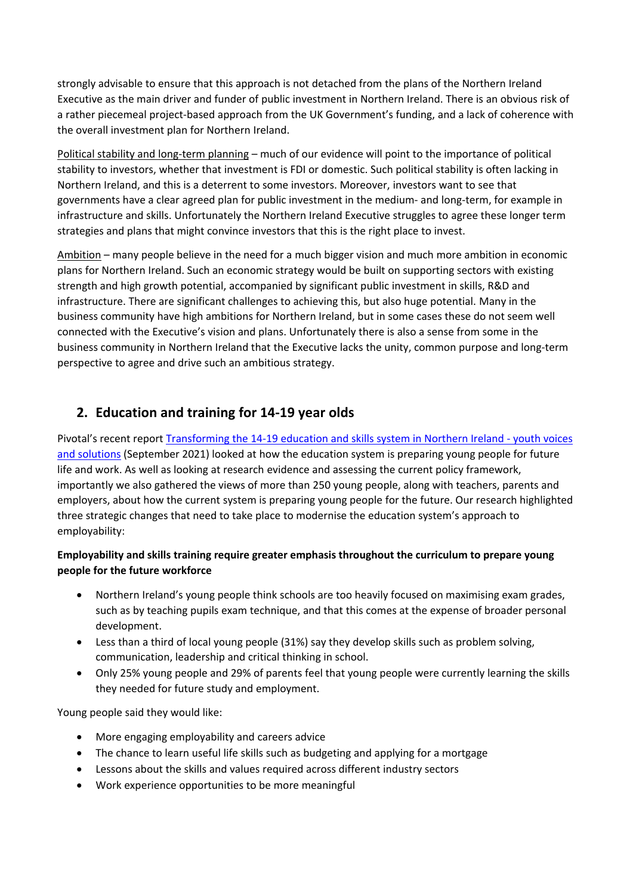strongly advisable to ensure that this approach is not detached from the plans of the Northern Ireland Executive as the main driver and funder of public investment in Northern Ireland. There is an obvious risk of a rather piecemeal project-based approach from the UK Government's funding, and a lack of coherence with the overall investment plan for Northern Ireland.

Political stability and long-term planning – much of our evidence will point to the importance of political stability to investors, whether that investment is FDI or domestic. Such political stability is often lacking in Northern Ireland, and this is a deterrent to some investors. Moreover, investors want to see that governments have a clear agreed plan for public investment in the medium- and long-term, for example in infrastructure and skills. Unfortunately the Northern Ireland Executive struggles to agree these longer term strategies and plans that might convince investors that this is the right place to invest.

Ambition – many people believe in the need for a much bigger vision and much more ambition in economic plans for Northern Ireland. Such an economic strategy would be built on supporting sectors with existing strength and high growth potential, accompanied by significant public investment in skills, R&D and infrastructure. There are significant challenges to achieving this, but also huge potential. Many in the business community have high ambitions for Northern Ireland, but in some cases these do not seem well connected with the Executive's vision and plans. Unfortunately there is also a sense from some in the business community in Northern Ireland that the Executive lacks the unity, common purpose and long-term perspective to agree and drive such an ambitious strategy.

## **2. Education and training for 14-19 year olds**

Pivotal's recent report [Transforming](https://www.pivotalppf.org/cmsfiles/14-19-final.pdf) [the](https://www.pivotalppf.org/cmsfiles/14-19-final.pdf) [14-19](https://www.pivotalppf.org/cmsfiles/14-19-final.pdf) [education](https://www.pivotalppf.org/cmsfiles/14-19-final.pdf) [and](https://www.pivotalppf.org/cmsfiles/14-19-final.pdf) [skills](https://www.pivotalppf.org/cmsfiles/14-19-final.pdf) [system](https://www.pivotalppf.org/cmsfiles/14-19-final.pdf) [in](https://www.pivotalppf.org/cmsfiles/14-19-final.pdf) [Northern](https://www.pivotalppf.org/cmsfiles/14-19-final.pdf) [Ireland](https://www.pivotalppf.org/cmsfiles/14-19-final.pdf) [-](https://www.pivotalppf.org/cmsfiles/14-19-final.pdf) [youth](https://www.pivotalppf.org/cmsfiles/14-19-final.pdf) [voices](https://www.pivotalppf.org/cmsfiles/14-19-final.pdf) [and](https://www.pivotalppf.org/cmsfiles/14-19-final.pdf) [solutions](https://www.pivotalppf.org/cmsfiles/14-19-final.pdf) (September 2021) looked at how the education system is preparing young people for future life and work. As well as looking at research evidence and assessing the current policy framework, importantly we also gathered the views of more than 250 young people, along with teachers, parents and employers, about how the current system is preparing young people for the future. Our research highlighted three strategic changes that need to take place to modernise the education system's approach to employability:

#### **Employability and skills training require greater emphasis throughout the curriculum to prepare young people for the future workforce**

- Northern Ireland's young people think schools are too heavily focused on maximising exam grades, such as by teaching pupils exam technique, and that this comes at the expense of broader personal development.
- Less than a third of local young people (31%) say they develop skills such as problem solving, communication, leadership and critical thinking in school.
- Only 25% young people and 29% of parents feel that young people were currently learning the skills they needed for future study and employment.

Young people said they would like:

- More engaging employability and careers advice
- The chance to learn useful life skills such as budgeting and applying for a mortgage
- Lessons about the skills and values required across different industry sectors
- Work experience opportunities to be more meaningful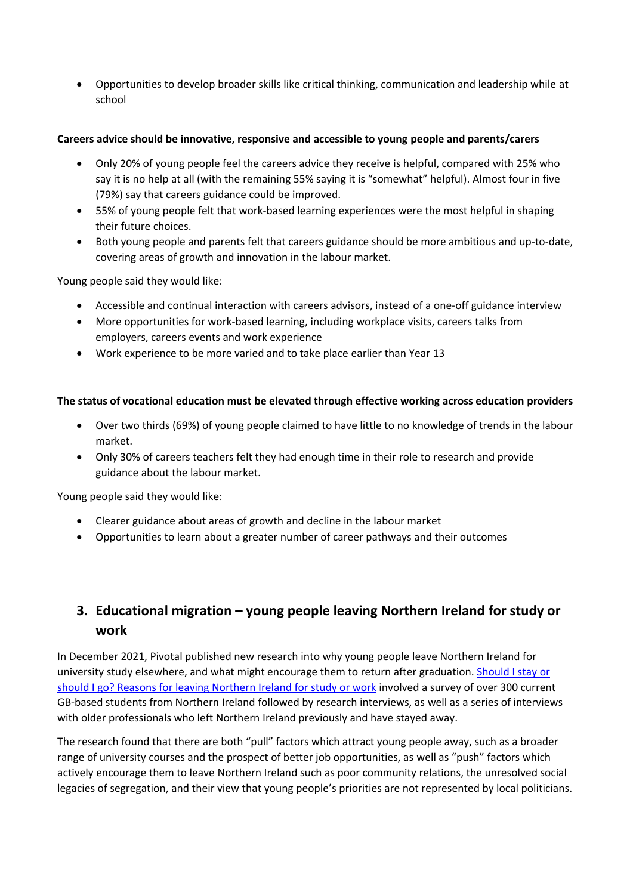Opportunities to develop broader skills like critical thinking, communication and leadership while at school

#### **Careers advice should be innovative, responsive and accessible to young people and parents/carers**

- Only 20% of young people feel the careers advice they receive is helpful, compared with 25% who say it is no help at all (with the remaining 55% saying it is "somewhat" helpful). Almost four in five (79%) say that careers guidance could be improved.
- 55% of young people felt that work-based learning experiences were the most helpful in shaping their future choices.
- Both young people and parents felt that careers guidance should be more ambitious and up-to-date, covering areas of growth and innovation in the labour market.

Young people said they would like:

- Accessible and continual interaction with careers advisors, instead of a one-off guidance interview
- More opportunities for work-based learning, including workplace visits, careers talks from employers, careers events and work experience
- Work experience to be more varied and to take place earlier than Year 13

#### **The status of vocational education must be elevated through effective working across education providers**

- Over two thirds (69%) of young people claimed to have little to no knowledge of trends in the labour market.
- Only 30% of careers teachers felt they had enough time in their role to research and provide guidance about the labour market.

Young people said they would like:

- Clearer guidance about areas of growth and decline in the labour market
- Opportunities to learn about a greater number of career pathways and their outcomes

## **3. Educational migration – young people leaving Northern Ireland for study or work**

In December 2021, Pivotal published new research into why young people leave Northern Ireland for university study elsewhere, and what might encourage them to return after graduation. [Should](https://www.pivotalppf.org/cmsfiles/Stay-or-go-final.pdf) [I](https://www.pivotalppf.org/cmsfiles/Stay-or-go-final.pdf) [stay](https://www.pivotalppf.org/cmsfiles/Stay-or-go-final.pdf) [or](https://www.pivotalppf.org/cmsfiles/Stay-or-go-final.pdf) [should](https://www.pivotalppf.org/cmsfiles/Stay-or-go-final.pdf) [I](https://www.pivotalppf.org/cmsfiles/Stay-or-go-final.pdf) [go?](https://www.pivotalppf.org/cmsfiles/Stay-or-go-final.pdf) [Reasons](https://www.pivotalppf.org/cmsfiles/Stay-or-go-final.pdf) [for](https://www.pivotalppf.org/cmsfiles/Stay-or-go-final.pdf) [leaving](https://www.pivotalppf.org/cmsfiles/Stay-or-go-final.pdf) [Northern](https://www.pivotalppf.org/cmsfiles/Stay-or-go-final.pdf) [Ireland](https://www.pivotalppf.org/cmsfiles/Stay-or-go-final.pdf) [for](https://www.pivotalppf.org/cmsfiles/Stay-or-go-final.pdf) [study](https://www.pivotalppf.org/cmsfiles/Stay-or-go-final.pdf) [or](https://www.pivotalppf.org/cmsfiles/Stay-or-go-final.pdf) [work](https://www.pivotalppf.org/cmsfiles/Stay-or-go-final.pdf) involved a survey of over 300 current GB-based students from Northern Ireland followed by research interviews, as well as a series of interviews with older professionals who left Northern Ireland previously and have stayed away.

The research found that there are both "pull" factors which attract young people away, such as a broader range of university courses and the prospect of better job opportunities, as well as "push" factors which actively encourage them to leave Northern Ireland such as poor community relations, the unresolved social legacies of segregation, and their view that young people's priorities are not represented by local politicians.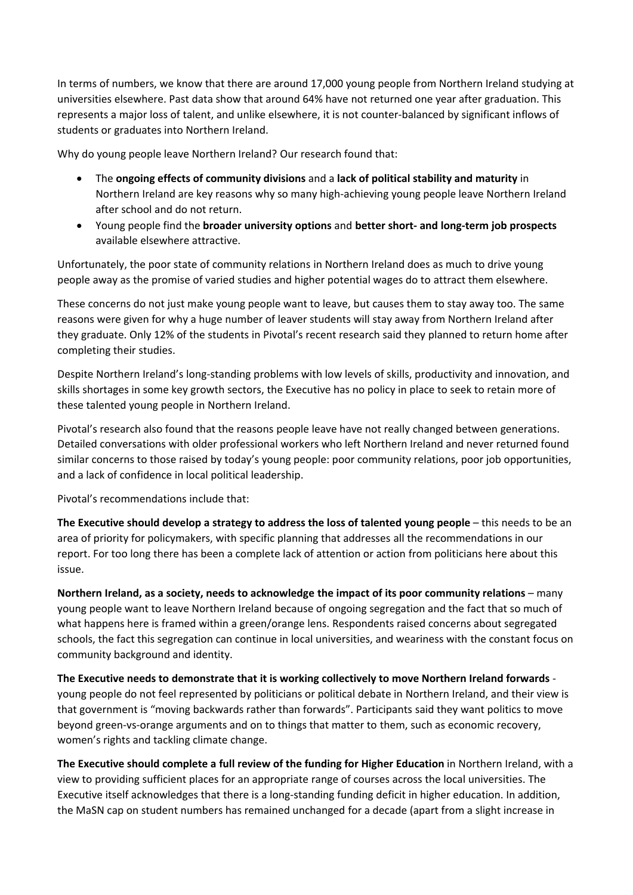In terms of numbers, we know that there are around 17,000 young people from Northern Ireland studying at universities elsewhere. Past data show that around 64% have not returned one year after graduation. This represents a major loss of talent, and unlike elsewhere, it is not counter-balanced by significant inflows of students or graduates into Northern Ireland.

Why do young people leave Northern Ireland? Our research found that:

- The **ongoing effects of community divisions** and a **lack of political stability and maturity** in Northern Ireland are key reasons why so many high-achieving young people leave Northern Ireland after school and do not return.
- Young people find the **broader university options** and **better short- and long-term job prospects** available elsewhere attractive.

Unfortunately, the poor state of community relations in Northern Ireland does as much to drive young people away as the promise of varied studies and higher potential wages do to attract them elsewhere.

These concerns do not just make young people want to leave, but causes them to stay away too. The same reasons were given for why a huge number of leaver students will stay away from Northern Ireland after they graduate. Only 12% of the students in Pivotal's recent research said they planned to return home after completing their studies.

Despite Northern Ireland's long-standing problems with low levels of skills, productivity and innovation, and skills shortages in some key growth sectors, the Executive has no policy in place to seek to retain more of these talented young people in Northern Ireland.

Pivotal's research also found that the reasons people leave have not really changed between generations. Detailed conversations with older professional workers who left Northern Ireland and never returned found similar concerns to those raised by today's young people: poor community relations, poor job opportunities, and a lack of confidence in local political leadership.

Pivotal's recommendations include that:

**The Executive should develop a strategy to address the loss of talented young people** – this needs to be an area of priority for policymakers, with specific planning that addresses all the recommendations in our report. For too long there has been a complete lack of attention or action from politicians here about this issue.

**Northern Ireland, as a society, needs to acknowledge the impact of its poor community relations** – many young people want to leave Northern Ireland because of ongoing segregation and the fact that so much of what happens here is framed within a green/orange lens. Respondents raised concerns about segregated schools, the fact this segregation can continue in local universities, and weariness with the constant focus on community background and identity.

**The Executive needs to demonstrate that it is working collectively to move Northern Ireland forwards** young people do not feel represented by politicians or political debate in Northern Ireland, and their view is that government is "moving backwards rather than forwards". Participants said they want politics to move beyond green-vs-orange arguments and on to things that matter to them, such as economic recovery, women's rights and tackling climate change.

**The Executive should complete a full review of the funding for Higher Education** in Northern Ireland, with a view to providing sufficient places for an appropriate range of courses across the local universities. The Executive itself acknowledges that there is a long-standing funding deficit in higher education. In addition, the MaSN cap on student numbers has remained unchanged for a decade (apart from a slight increase in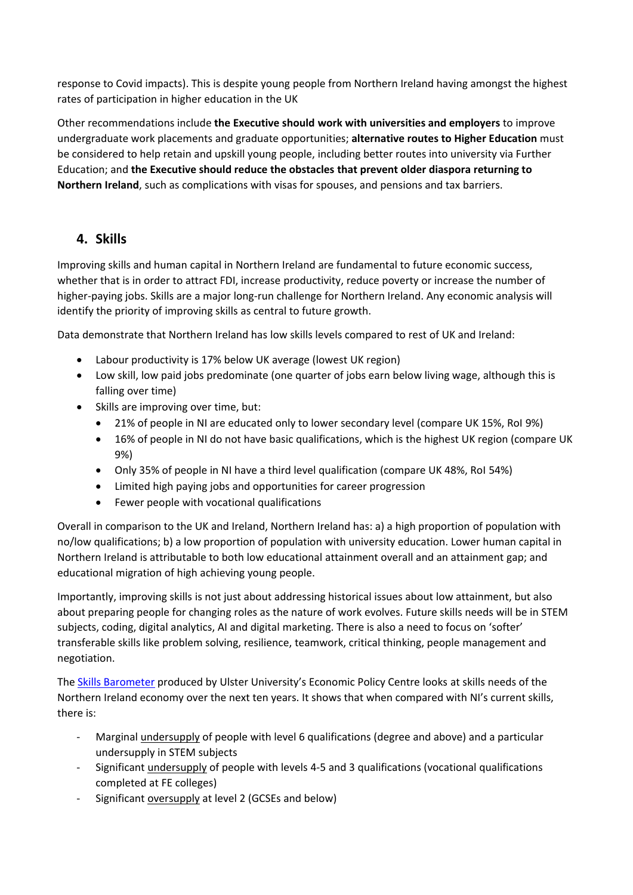response to Covid impacts). This is despite young people from Northern Ireland having amongst the highest rates of participation in higher education in the UK

Other recommendations include **the Executive should work with universities and employers** to improve undergraduate work placements and graduate opportunities; **alternative routes to Higher Education** must be considered to help retain and upskill young people, including better routes into university via Further Education; and **the Executive should reduce the obstacles that prevent older diaspora returning to Northern Ireland**, such as complications with visas for spouses, and pensions and tax barriers.

### **4. Skills**

Improving skills and human capital in Northern Ireland are fundamental to future economic success, whether that is in order to attract FDI, increase productivity, reduce poverty or increase the number of higher-paying jobs. Skills are a major long-run challenge for Northern Ireland. Any economic analysis will identify the priority of improving skills as central to future growth.

Data demonstrate that Northern Ireland has low skills levels compared to rest of UK and Ireland:

- Labour productivity is 17% below UK average (lowest UK region)
- Low skill, low paid jobs predominate (one quarter of jobs earn below living wage, although this is falling over time)
- Skills are improving over time, but:
	- 21% of people in NI are educated only to lower secondary level (compare UK 15%, RoI 9%)
	- 16% of people in NI do not have basic qualifications, which is the highest UK region (compare UK 9%)
	- Only 35% of people in NI have a third level qualification (compare UK 48%, RoI 54%)
	- Limited high paying jobs and opportunities for career progression
	- Fewer people with vocational qualifications

Overall in comparison to the UK and Ireland, Northern Ireland has: a) a high proportion of population with no/low qualifications; b) a low proportion of population with university education. Lower human capital in Northern Ireland is attributable to both low educational attainment overall and an attainment gap; and educational migration of high achieving young people.

Importantly, improving skills is not just about addressing historical issues about low attainment, but also about preparing people for changing roles as the nature of work evolves. Future skills needs will be in STEM subjects, coding, digital analytics, AI and digital marketing. There is also a need to focus on 'softer' transferable skills like problem solving, resilience, teamwork, critical thinking, people management and negotiation.

The [Skills](https://www.economy-ni.gov.uk/sites/default/files/publications/economy/Skills-Barometer-2019-Summary-Report.pdf) [Barometer](https://www.economy-ni.gov.uk/sites/default/files/publications/economy/Skills-Barometer-2019-Summary-Report.pdf) produced by Ulster University's Economic Policy Centre looks at skills needs of the Northern Ireland economy over the next ten years. It shows that when compared with NI's current skills, there is:

- Marginal undersupply of people with level 6 qualifications (degree and above) and a particular undersupply in STEM subjects
- Significant undersupply of people with levels 4-5 and 3 qualifications (vocational qualifications completed at FE colleges)
- Significant oversupply at level 2 (GCSEs and below)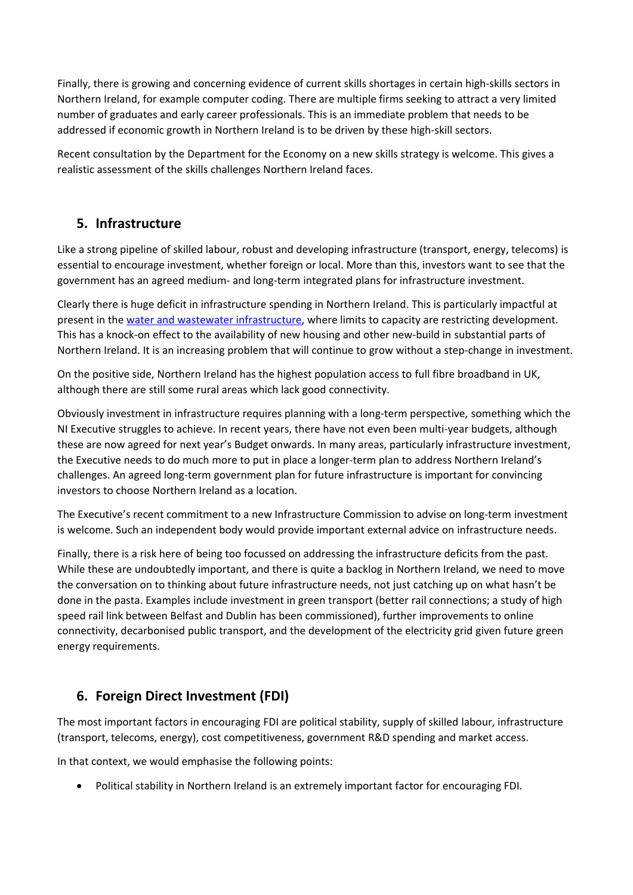Finally, there is growing and concerning evidence of current skills shortages in certain high-skills sectors in Northern Ireland, for example computer coding. There are multiple firms seeking to attract a very limited number of graduates and early career professionals. This is an immediate problem that needs to be addressed if economic growth in Northern Ireland is to be driven by these high-skill sectors.

Recent consultation by the Department for the Economy on a new skills strategy is welcome. This gives a realistic assessment of the skills challenges Northern Ireland faces.

### **5. Infrastructure**

Like a strong pipeline of skilled labour, robust and developing infrastructure (transport, energy, telecoms) is essential to encourage investment, whether foreign or local. More than this, investors want to see that the government has an agreed medium- and long-term integrated plans for infrastructure investment.

Clearly there is huge deficit in infrastructure spending in Northern Ireland. This is particularly impactful at present in the [water](https://www.niwater.com/news-detail/11859/going-down-the-drain-lack-of-investment-is-sinking-ni-water/) [and](https://www.niwater.com/news-detail/11859/going-down-the-drain-lack-of-investment-is-sinking-ni-water/) [wastewater](https://www.niwater.com/news-detail/11859/going-down-the-drain-lack-of-investment-is-sinking-ni-water/) [infrastructure,](https://www.niwater.com/news-detail/11859/going-down-the-drain-lack-of-investment-is-sinking-ni-water/) where limits to capacity are restricting development. This has a knock-on effect to the availability of new housing and other new-build in substantial parts of Northern Ireland. It is an increasing problem that will continue to grow without a step-change in investment.

On the positive side, Northern Ireland has the highest population access to full fibre broadband in UK, although there are still some rural areas which lack good connectivity.

Obviously investment in infrastructure requires planning with a long-term perspective, something which the NI Executive struggles to achieve. In recent years, there have not even been multi-year budgets, although these are now agreed for next year's Budget onwards. In many areas, particularly infrastructure investment, the Executive needs to do much more to put in place a longer-term plan to address Northern Ireland's challenges. An agreed long-term government plan for future infrastructure is important for convincing investors to choose Northern Ireland as a location.

The Executive's recent commitment to a new Infrastructure Commission to advise on long-term investment is welcome. Such an independent body would provide important external advice on infrastructure needs.

Finally, there is a risk here of being too focussed on addressing the infrastructure deficits from the past. While these are undoubtedly important, and there is quite a backlog in Northern Ireland, we need to move the conversation on to thinking about future infrastructure needs, not just catching up on what hasn't be done in the pasta. Examples include investment in green transport (better rail connections; a study of high speed rail link between Belfast and Dublin has been commissioned), further improvements to online connectivity, decarbonised public transport, and the development of the electricity grid given future green energy requirements.

## **6. Foreign Direct Investment (FDI)**

The most important factors in encouraging FDI are political stability, supply of skilled labour, infrastructure (transport, telecoms, energy), cost competitiveness, government R&D spending and market access.

In that context, we would emphasise the following points:

Political stability in Northern Ireland is an extremely important factor for encouraging FDI.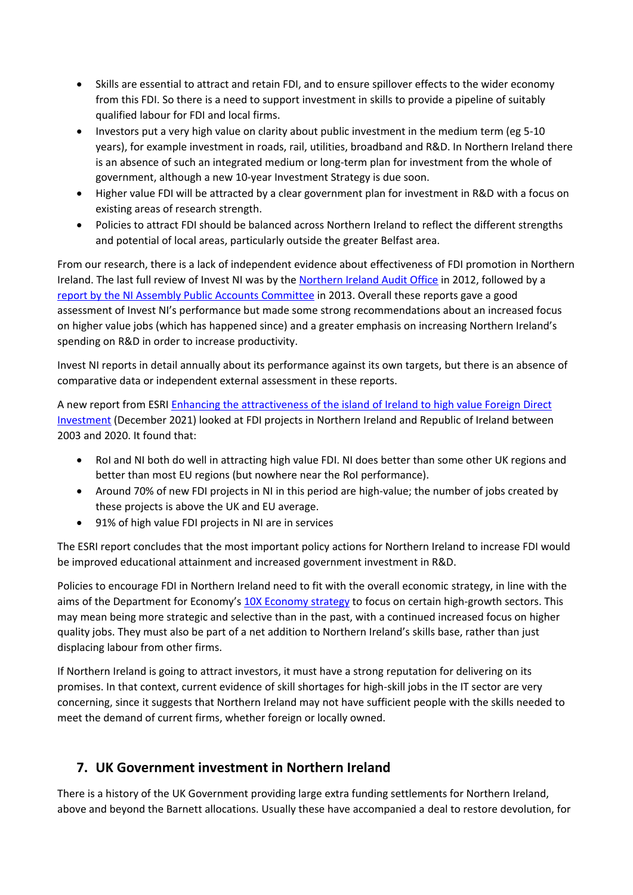- Skills are essential to attract and retain FDI, and to ensure spillover effects to the wider economy from this FDI. So there is a need to support investment in skills to provide a pipeline of suitably qualified labour for FDI and local firms.
- Investors put a very high value on clarity about public investment in the medium term (eg 5-10 years), for example investment in roads, rail, utilities, broadband and R&D. In Northern Ireland there is an absence of such an integrated medium or long-term plan for investment from the whole of government, although a new 10-year Investment Strategy is due soon.
- Higher value FDI will be attracted by a clear government plan for investment in R&D with a focus on existing areas of research strength.
- Policies to attract FDI should be balanced across Northern Ireland to reflect the different strengths and potential of local areas, particularly outside the greater Belfast area.

From our research, there is a lack of independent evidence about effectiveness of FDI promotion in Northern Ireland. The last full review of Invest NI was by the [Northern](https://www.niauditoffice.gov.uk/publications/invest-ni-performance-review) [Ireland](https://www.niauditoffice.gov.uk/publications/invest-ni-performance-review) [Audit](https://www.niauditoffice.gov.uk/publications/invest-ni-performance-review) [Office](https://www.niauditoffice.gov.uk/publications/invest-ni-performance-review) in 2012, followed by a [report](http://www.niassembly.gov.uk/assembly-business/committees/2011-2016/public-accounts-committee/reports-2011-2016/report-on-invest-ni-a-performance-review/) [by](http://www.niassembly.gov.uk/assembly-business/committees/2011-2016/public-accounts-committee/reports-2011-2016/report-on-invest-ni-a-performance-review/) [the](http://www.niassembly.gov.uk/assembly-business/committees/2011-2016/public-accounts-committee/reports-2011-2016/report-on-invest-ni-a-performance-review/) [NI](http://www.niassembly.gov.uk/assembly-business/committees/2011-2016/public-accounts-committee/reports-2011-2016/report-on-invest-ni-a-performance-review/) [Assembly](http://www.niassembly.gov.uk/assembly-business/committees/2011-2016/public-accounts-committee/reports-2011-2016/report-on-invest-ni-a-performance-review/) [Public](http://www.niassembly.gov.uk/assembly-business/committees/2011-2016/public-accounts-committee/reports-2011-2016/report-on-invest-ni-a-performance-review/) [Accounts](http://www.niassembly.gov.uk/assembly-business/committees/2011-2016/public-accounts-committee/reports-2011-2016/report-on-invest-ni-a-performance-review/) [Committee](http://www.niassembly.gov.uk/assembly-business/committees/2011-2016/public-accounts-committee/reports-2011-2016/report-on-invest-ni-a-performance-review/) in 2013. Overall these reports gave a good assessment of Invest NI's performance but made some strong recommendations about an increased focus on higher value jobs (which has happened since) and a greater emphasis on increasing Northern Ireland's spending on R&D in order to increase productivity.

Invest NI reports in detail annually about its performance against its own targets, but there is an absence of comparative data or independent external assessment in these reports.

A new report from ESRI [Enhancing](https://www.esri.ie/publications/enhancing-the-attractiveness-of-the-island-of-ireland-to-high-value-foreign-direct) [the](https://www.esri.ie/publications/enhancing-the-attractiveness-of-the-island-of-ireland-to-high-value-foreign-direct) [attractiveness](https://www.esri.ie/publications/enhancing-the-attractiveness-of-the-island-of-ireland-to-high-value-foreign-direct) [of](https://www.esri.ie/publications/enhancing-the-attractiveness-of-the-island-of-ireland-to-high-value-foreign-direct) [the](https://www.esri.ie/publications/enhancing-the-attractiveness-of-the-island-of-ireland-to-high-value-foreign-direct) [island](https://www.esri.ie/publications/enhancing-the-attractiveness-of-the-island-of-ireland-to-high-value-foreign-direct) [of](https://www.esri.ie/publications/enhancing-the-attractiveness-of-the-island-of-ireland-to-high-value-foreign-direct) [Ireland](https://www.esri.ie/publications/enhancing-the-attractiveness-of-the-island-of-ireland-to-high-value-foreign-direct) [to](https://www.esri.ie/publications/enhancing-the-attractiveness-of-the-island-of-ireland-to-high-value-foreign-direct) [high](https://www.esri.ie/publications/enhancing-the-attractiveness-of-the-island-of-ireland-to-high-value-foreign-direct) [value](https://www.esri.ie/publications/enhancing-the-attractiveness-of-the-island-of-ireland-to-high-value-foreign-direct) [Foreign](https://www.esri.ie/publications/enhancing-the-attractiveness-of-the-island-of-ireland-to-high-value-foreign-direct) [Direct](https://www.esri.ie/publications/enhancing-the-attractiveness-of-the-island-of-ireland-to-high-value-foreign-direct) [Investment](https://www.esri.ie/publications/enhancing-the-attractiveness-of-the-island-of-ireland-to-high-value-foreign-direct) (December 2021) looked at FDI projects in Northern Ireland and Republic of Ireland between 2003 and 2020. It found that:

- RoI and NI both do well in attracting high value FDI. NI does better than some other UK regions and better than most EU regions (but nowhere near the RoI performance).
- Around 70% of new FDI projects in NI in this period are high-value; the number of jobs created by these projects is above the UK and EU average.
- 91% of high value FDI projects in NI are in services

The ESRI report concludes that the most important policy actions for Northern Ireland to increase FDI would be improved educational attainment and increased government investment in R&D.

Policies to encourage FDI in Northern Ireland need to fit with the overall economic strategy, in line with the aims of the Department for Economy's [10X](https://www.economy-ni.gov.uk/publications/10x-economy-economic-vision-decade-innovation) [Economy](https://www.economy-ni.gov.uk/publications/10x-economy-economic-vision-decade-innovation) [strategy](https://www.economy-ni.gov.uk/publications/10x-economy-economic-vision-decade-innovation) to focus on certain high-growth sectors. This may mean being more strategic and selective than in the past, with a continued increased focus on higher quality jobs. They must also be part of a net addition to Northern Ireland's skills base, rather than just displacing labour from other firms.

If Northern Ireland is going to attract investors, it must have a strong reputation for delivering on its promises. In that context, current evidence of skill shortages for high-skill jobs in the IT sector are very concerning, since it suggests that Northern Ireland may not have sufficient people with the skills needed to meet the demand of current firms, whether foreign or locally owned.

## **7. UK Government investment in Northern Ireland**

There is a history of the UK Government providing large extra funding settlements for Northern Ireland, above and beyond the Barnett allocations. Usually these have accompanied a deal to restore devolution, for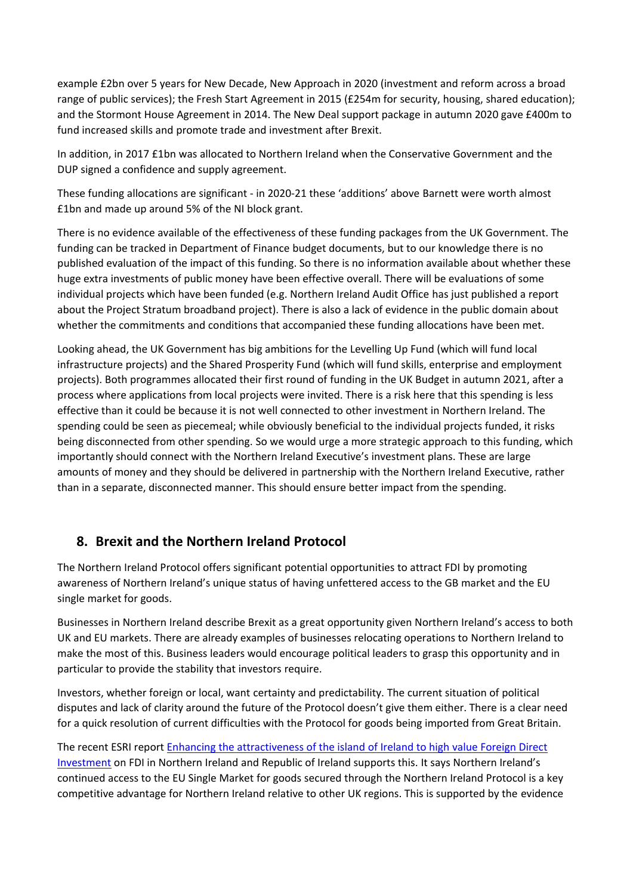example £2bn over 5 years for New Decade, New Approach in 2020 (investment and reform across a broad range of public services); the Fresh Start Agreement in 2015 (£254m for security, housing, shared education); and the Stormont House Agreement in 2014. The New Deal support package in autumn 2020 gave £400m to fund increased skills and promote trade and investment after Brexit.

In addition, in 2017 £1bn was allocated to Northern Ireland when the Conservative Government and the DUP signed a confidence and supply agreement.

These funding allocations are significant - in 2020-21 these 'additions' above Barnett were worth almost £1bn and made up around 5% of the NI block grant.

There is no evidence available of the effectiveness of these funding packages from the UK Government. The funding can be tracked in Department of Finance budget documents, but to our knowledge there is no published evaluation of the impact of this funding. So there is no information available about whether these huge extra investments of public money have been effective overall. There will be evaluations of some individual projects which have been funded (e.g. Northern Ireland Audit Office has just published a report about the Project Stratum broadband project). There is also a lack of evidence in the public domain about whether the commitments and conditions that accompanied these funding allocations have been met.

Looking ahead, the UK Government has big ambitions for the Levelling Up Fund (which will fund local infrastructure projects) and the Shared Prosperity Fund (which will fund skills, enterprise and employment projects). Both programmes allocated their first round of funding in the UK Budget in autumn 2021, after a process where applications from local projects were invited. There is a risk here that this spending is less effective than it could be because it is not well connected to other investment in Northern Ireland. The spending could be seen as piecemeal; while obviously beneficial to the individual projects funded, it risks being disconnected from other spending. So we would urge a more strategic approach to this funding, which importantly should connect with the Northern Ireland Executive's investment plans. These are large amounts of money and they should be delivered in partnership with the Northern Ireland Executive, rather than in a separate, disconnected manner. This should ensure better impact from the spending.

#### **8. Brexit and the Northern Ireland Protocol**

The Northern Ireland Protocol offers significant potential opportunities to attract FDI by promoting awareness of Northern Ireland's unique status of having unfettered access to the GB market and the EU single market for goods.

Businesses in Northern Ireland describe Brexit as a great opportunity given Northern Ireland's access to both UK and EU markets. There are already examples of businesses relocating operations to Northern Ireland to make the most of this. Business leaders would encourage political leaders to grasp this opportunity and in particular to provide the stability that investors require.

Investors, whether foreign or local, want certainty and predictability. The current situation of political disputes and lack of clarity around the future of the Protocol doesn't give them either. There is a clear need for a quick resolution of current difficulties with the Protocol for goods being imported from Great Britain.

The recent ESRI report [Enhancing](https://www.esri.ie/publications/enhancing-the-attractiveness-of-the-island-of-ireland-to-high-value-foreign-direct) [the](https://www.esri.ie/publications/enhancing-the-attractiveness-of-the-island-of-ireland-to-high-value-foreign-direct) [attractiveness](https://www.esri.ie/publications/enhancing-the-attractiveness-of-the-island-of-ireland-to-high-value-foreign-direct) [of](https://www.esri.ie/publications/enhancing-the-attractiveness-of-the-island-of-ireland-to-high-value-foreign-direct) [the](https://www.esri.ie/publications/enhancing-the-attractiveness-of-the-island-of-ireland-to-high-value-foreign-direct) [island](https://www.esri.ie/publications/enhancing-the-attractiveness-of-the-island-of-ireland-to-high-value-foreign-direct) [of](https://www.esri.ie/publications/enhancing-the-attractiveness-of-the-island-of-ireland-to-high-value-foreign-direct) [Ireland](https://www.esri.ie/publications/enhancing-the-attractiveness-of-the-island-of-ireland-to-high-value-foreign-direct) [to](https://www.esri.ie/publications/enhancing-the-attractiveness-of-the-island-of-ireland-to-high-value-foreign-direct) [high](https://www.esri.ie/publications/enhancing-the-attractiveness-of-the-island-of-ireland-to-high-value-foreign-direct) [value](https://www.esri.ie/publications/enhancing-the-attractiveness-of-the-island-of-ireland-to-high-value-foreign-direct) [Foreign](https://www.esri.ie/publications/enhancing-the-attractiveness-of-the-island-of-ireland-to-high-value-foreign-direct) [Direct](https://www.esri.ie/publications/enhancing-the-attractiveness-of-the-island-of-ireland-to-high-value-foreign-direct) [Investment](https://www.esri.ie/publications/enhancing-the-attractiveness-of-the-island-of-ireland-to-high-value-foreign-direct) on FDI in Northern Ireland and Republic of Ireland supports this. It says Northern Ireland's continued access to the EU Single Market for goods secured through the Northern Ireland Protocol is a key competitive advantage for Northern Ireland relative to other UK regions. This is supported by the evidence